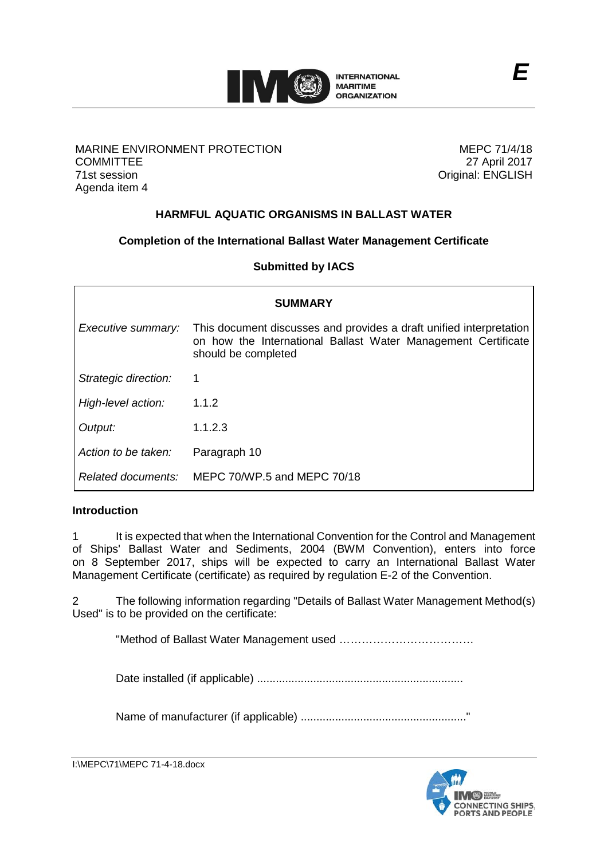

# MARINE ENVIRONMENT PROTECTION **COMMITTEE** 71st session Agenda item 4

MEPC 71/4/18 27 April 2017 Original: ENGLISH

# **HARMFUL AQUATIC ORGANISMS IN BALLAST WATER**

# **Completion of the International Ballast Water Management Certificate**

**Submitted by IACS**

| <b>SUMMARY</b>       |                                                                                                                                                             |
|----------------------|-------------------------------------------------------------------------------------------------------------------------------------------------------------|
| Executive summary:   | This document discusses and provides a draft unified interpretation<br>on how the International Ballast Water Management Certificate<br>should be completed |
| Strategic direction: | 1                                                                                                                                                           |
| High-level action:   | 1.1.2                                                                                                                                                       |
| Output:              | 1.1.2.3                                                                                                                                                     |
| Action to be taken:  | Paragraph 10                                                                                                                                                |
| Related documents:   | MEPC 70/WP.5 and MEPC 70/18                                                                                                                                 |

# **Introduction**

1 It is expected that when the International Convention for the Control and Management of Ships' Ballast Water and Sediments, 2004 (BWM Convention), enters into force on 8 September 2017, ships will be expected to carry an International Ballast Water Management Certificate (certificate) as required by regulation E-2 of the Convention.

2 The following information regarding "Details of Ballast Water Management Method(s) Used" is to be provided on the certificate:

"Method of Ballast Water Management used ………………………………

Date installed (if applicable) ..................................................................

Name of manufacturer (if applicable) ....................................................."

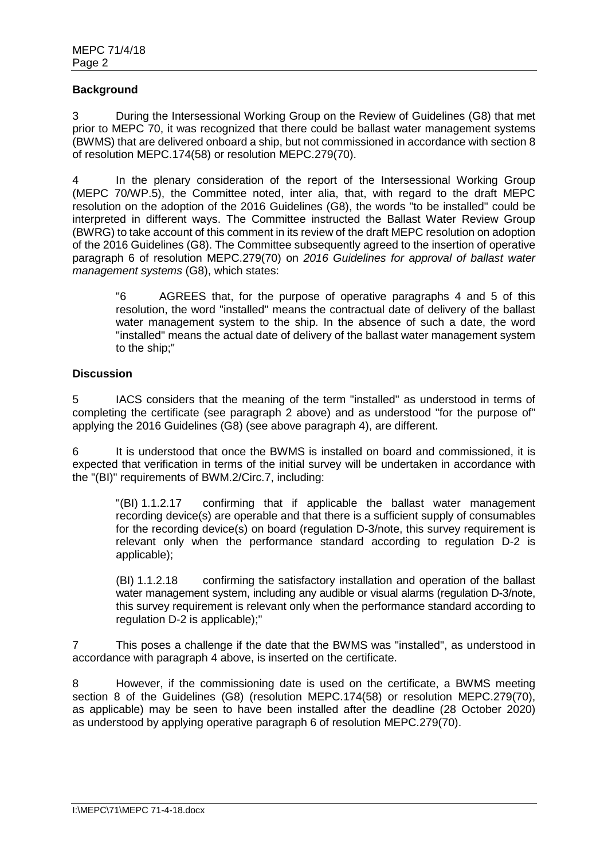# **Background**

3 During the Intersessional Working Group on the Review of Guidelines (G8) that met prior to MEPC 70, it was recognized that there could be ballast water management systems (BWMS) that are delivered onboard a ship, but not commissioned in accordance with section 8 of resolution MEPC.174(58) or resolution MEPC.279(70).

In the plenary consideration of the report of the Intersessional Working Group (MEPC 70/WP.5), the Committee noted, inter alia, that, with regard to the draft MEPC resolution on the adoption of the 2016 Guidelines (G8), the words "to be installed" could be interpreted in different ways. The Committee instructed the Ballast Water Review Group (BWRG) to take account of this comment in its review of the draft MEPC resolution on adoption of the 2016 Guidelines (G8). The Committee subsequently agreed to the insertion of operative paragraph 6 of resolution MEPC.279(70) on *2016 Guidelines for approval of ballast water management systems* (G8), which states:

"6 AGREES that, for the purpose of operative paragraphs 4 and 5 of this resolution, the word "installed" means the contractual date of delivery of the ballast water management system to the ship. In the absence of such a date, the word "installed" means the actual date of delivery of the ballast water management system to the ship;"

# **Discussion**

5 IACS considers that the meaning of the term "installed" as understood in terms of completing the certificate (see paragraph 2 above) and as understood "for the purpose of" applying the 2016 Guidelines (G8) (see above paragraph 4), are different.

6 It is understood that once the BWMS is installed on board and commissioned, it is expected that verification in terms of the initial survey will be undertaken in accordance with the "(BI)" requirements of BWM.2/Circ.7, including:

"(BI) 1.1.2.17 confirming that if applicable the ballast water management recording device(s) are operable and that there is a sufficient supply of consumables for the recording device(s) on board (regulation D-3/note, this survey requirement is relevant only when the performance standard according to regulation D-2 is applicable);

(BI) 1.1.2.18 confirming the satisfactory installation and operation of the ballast water management system, including any audible or visual alarms (regulation D-3/note, this survey requirement is relevant only when the performance standard according to regulation D-2 is applicable);"

7 This poses a challenge if the date that the BWMS was "installed", as understood in accordance with paragraph 4 above, is inserted on the certificate.

8 However, if the commissioning date is used on the certificate, a BWMS meeting section 8 of the Guidelines (G8) (resolution MEPC.174(58) or resolution MEPC.279(70), as applicable) may be seen to have been installed after the deadline (28 October 2020) as understood by applying operative paragraph 6 of resolution MEPC.279(70).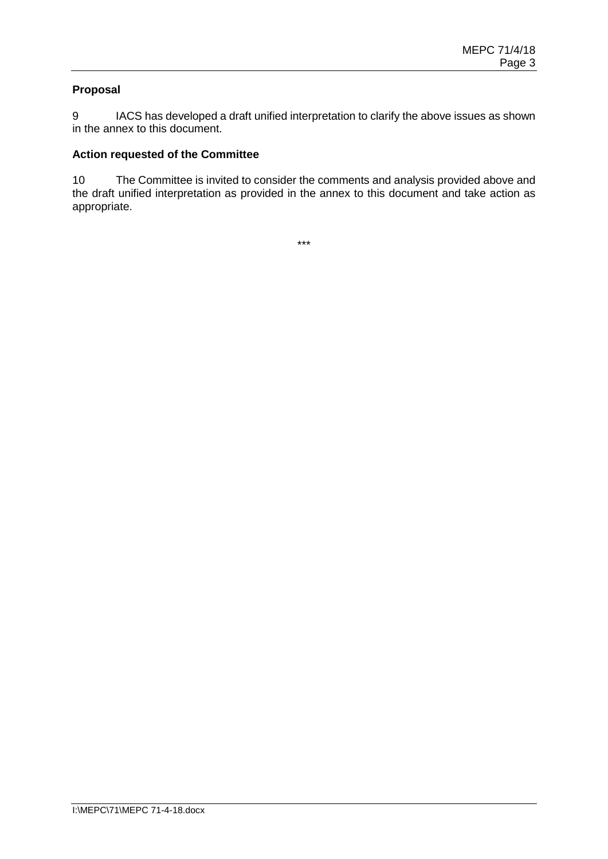# **Proposal**

9 IACS has developed a draft unified interpretation to clarify the above issues as shown in the annex to this document.

### **Action requested of the Committee**

10 The Committee is invited to consider the comments and analysis provided above and the draft unified interpretation as provided in the annex to this document and take action as appropriate.

\*\*\*